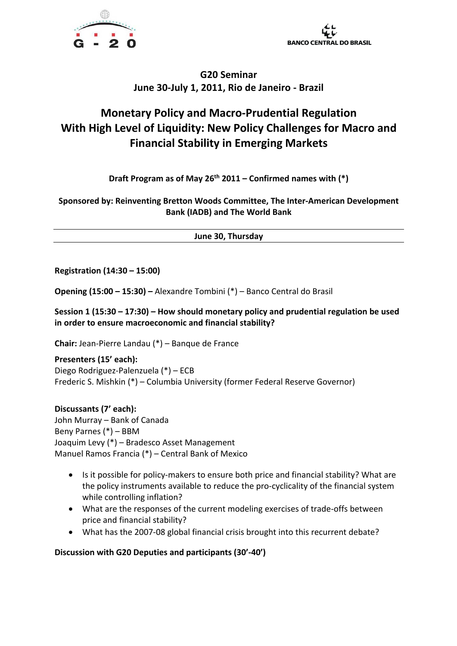



# **Monetary Policy and Macro-Prudential Regulation With High Level of Liquidity: New Policy Challenges for Macro and Financial Stability in Emerging Markets**

**Draft Program as of May 26th 2011 – Confirmed names with (\*)**

**Sponsored by: Reinventing Bretton Woods Committee, The Inter-American Development Bank (IADB) and The World Bank**

**June 30, Thursday**

**Registration (14:30 – 15:00)**

**Opening (15:00 – 15:30) –** Alexandre Tombini (\*) – Banco Central do Brasil

**Session 1 (15:30 – 17:30) – How should monetary policy and prudential regulation be used in order to ensure macroeconomic and financial stability?**

**Chair:** Jean-Pierre Landau (\*) – Banque de France

**Presenters (15' each):**  Diego Rodriguez-Palenzuela (\*) – ECB Frederic S. Mishkin (\*) – Columbia University (former Federal Reserve Governor)

**Discussants (7' each):**  John Murray – Bank of Canada Beny Parnes (\*) – BBM Joaquim Levy (\*) – Bradesco Asset Management Manuel Ramos Francia (\*) – Central Bank of Mexico

- Is it possible for policy-makers to ensure both price and financial stability? What are the policy instruments available to reduce the pro-cyclicality of the financial system while controlling inflation?
- What are the responses of the current modeling exercises of trade-offs between price and financial stability?
- What has the 2007-08 global financial crisis brought into this recurrent debate?

**Discussion with G20 Deputies and participants (30'-40')**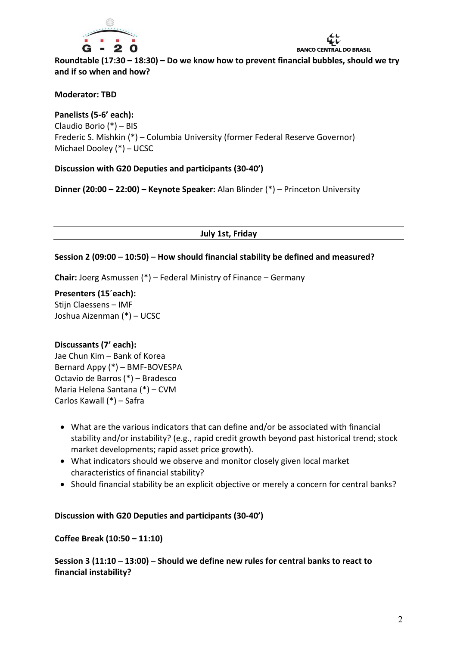

**BANCO CENTRAL DO BRASIL** 

**Roundtable (17:30 – 18:30) – Do we know how to prevent financial bubbles, should we try and if so when and how?**

## **Moderator: TBD**

**Panelists (5-6' each):** Claudio Borio (\*) – BIS Frederic S. Mishkin (\*) – Columbia University (former Federal Reserve Governor) Michael Dooley (\*) – UCSC

## **Discussion with G20 Deputies and participants (30-40')**

**Dinner (20:00 – 22:00) – Keynote Speaker:** Alan Blinder (\*) – Princeton University

**July 1st, Friday**

#### **Session 2 (09:00 – 10:50) – How should financial stability be defined and measured?**

**Chair:** Joerg Asmussen (\*) – Federal Ministry of Finance – Germany

**Presenters (15´each):**  Stijn Claessens – IMF Joshua Aizenman (\*) – UCSC

#### **Discussants (7' each):**

Jae Chun Kim – Bank of Korea Bernard Appy (\*) – BMF-BOVESPA Octavio de Barros (\*) – Bradesco Maria Helena Santana (\*) – CVM Carlos Kawall (\*) – Safra

- What are the various indicators that can define and/or be associated with financial stability and/or instability? (e.g., rapid credit growth beyond past historical trend; stock market developments; rapid asset price growth).
- What indicators should we observe and monitor closely given local market characteristics of financial stability?
- Should financial stability be an explicit objective or merely a concern for central banks?

#### **Discussion with G20 Deputies and participants (30-40')**

#### **Coffee Break (10:50 – 11:10)**

**Session 3 (11:10 – 13:00) – Should we define new rules for central banks to react to financial instability?**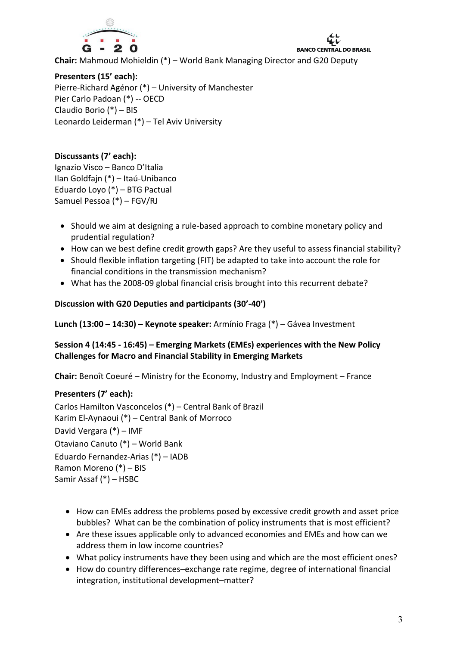

**Chair:** Mahmoud Mohieldin (\*) – World Bank Managing Director and G20 Deputy

**BANCO CENTRAL DO BRASIL** 

## **Presenters (15' each):**

Pierre-Richard Agénor (\*) – University of Manchester Pier Carlo Padoan (\*) -- OECD Claudio Borio (\*) – BIS Leonardo Leiderman (\*) – Tel Aviv University

# **Discussants (7' each):**

Ignazio Visco – Banco D'Italia Ilan Goldfajn (\*) – Itaú-Unibanco Eduardo Loyo (\*) – BTG Pactual Samuel Pessoa (\*) – FGV/RJ

- Should we aim at designing a rule-based approach to combine monetary policy and prudential regulation?
- How can we best define credit growth gaps? Are they useful to assess financial stability?
- Should flexible inflation targeting (FIT) be adapted to take into account the role for financial conditions in the transmission mechanism?
- What has the 2008-09 global financial crisis brought into this recurrent debate?

## **Discussion with G20 Deputies and participants (30'-40')**

**Lunch (13:00 – 14:30) – Keynote speaker:** Armínio Fraga (\*) – Gávea Investment

## **Session 4 (14:45 - 16:45) – Emerging Markets (EMEs) experiences with the New Policy Challenges for Macro and Financial Stability in Emerging Markets**

**Chair:** Benoît Coeuré – Ministry for the Economy, Industry and Employment – France

## **Presenters (7' each):**

Carlos Hamilton Vasconcelos (\*) – Central Bank of Brazil Karim El-Aynaoui (\*) – Central Bank of Morroco David Vergara (\*) – IMF Otaviano Canuto (\*) – World Bank Eduardo Fernandez-Arias (\*) – IADB Ramon Moreno (\*) – BIS Samir Assaf (\*) – HSBC

- How can EMEs address the problems posed by excessive credit growth and asset price bubbles? What can be the combination of policy instruments that is most efficient?
- Are these issues applicable only to advanced economies and EMEs and how can we address them in low income countries?
- What policy instruments have they been using and which are the most efficient ones?
- How do country differences–exchange rate regime, degree of international financial integration, institutional development–matter?